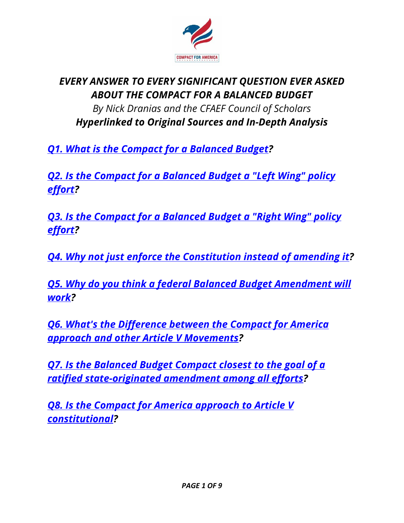<span id="page-0-0"></span>

## *EVERY ANSWER TO EVERY SIGNIFICANT QUESTION EVER ASKED ABOUT THE COMPACT FOR A BALANCED BUDGET By Nick Dranias and the CFAEF Council of Scholars Hyperlinked to Original Sources and In-Depth Analysis*

*Q1. What is the Compact for a [Balanced](#page-2-0) Budget?*

<span id="page-0-1"></span>*Q2. Is the Compact for a [Balanced](#page-2-1) Budget a "Left Wing" policy [effort?](#page-2-1)*

<span id="page-0-2"></span>*Q3. Is the Compact for a [Balanced](#page-2-2) Budget a "Right Wing" policy [effort?](#page-2-2)*

<span id="page-0-3"></span>*Q4. Why not just enforce the [Constitution](#page-3-0) instead of amending it?*

<span id="page-0-4"></span>*Q5. Why do you think a federal Balanced Budget [Amendment](#page-3-1) will [work?](#page-3-1)*

<span id="page-0-5"></span>*Q6. What's the [Difference](#page-5-0) between the Compact for America approach and other Article V [Movements?](#page-5-0)*

<span id="page-0-6"></span>*Q7. Is the [Balanced](#page-5-1) Budget Compact closest to the goal of a ratified [state-originated](#page-5-1) amendment among all efforts?*

<span id="page-0-7"></span>*Q8. Is the Compact for America [approach](#page-6-0) to Article V [constitutional?](#page-6-0)*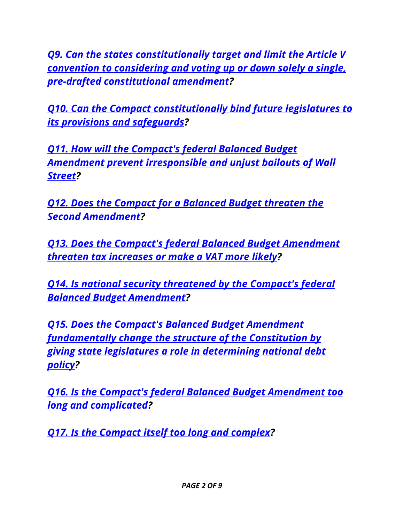<span id="page-1-0"></span>*Q9. Can the states [constitutionally](#page-6-1) target and limit the Article V convention to [considering](#page-6-1) and voting up or down solely a single, pre-drafted [constitutional](#page-6-1) amendment?*

<span id="page-1-1"></span>*Q10. Can the Compact [constitutionally](#page-7-0) bind future legislatures to its provisions and [safeguards?](#page-7-0)*

<span id="page-1-2"></span>*Q11. How will the [Compact's](#page-7-1) federal Balanced Budget Amendment prevent [irresponsible](#page-7-1) and unjust bailouts of Wall [Street?](#page-7-1)*

<span id="page-1-3"></span>*Q12. Does the Compact for a [Balanced](#page-7-2) Budget threaten the Second [Amendment?](#page-7-2)*

<span id="page-1-4"></span>*Q13. Does the Compact's federal Balanced Budget [Amendment](#page-7-3) threaten tax [increases](#page-7-3) or make a VAT more likely?*

<span id="page-1-5"></span>*Q14. Is national security [threatened](#page-7-4) by the Compact's federal Balanced Budget [Amendment?](#page-7-4)*

<span id="page-1-6"></span>*Q15. Does the Compact's Balanced Budget [Amendment](#page-8-0) [fundamentally](#page-8-0) change the structure of the Constitution by giving state legislatures a role in [determining](#page-8-0) national debt [policy?](#page-8-0)*

<span id="page-1-7"></span>*Q16. Is the Compact's federal Balanced Budget [Amendment](#page-8-1) too long and [complicated?](#page-8-1)*

<span id="page-1-8"></span>*Q17. Is the [Compact](#page-8-2) itself too long and complex?*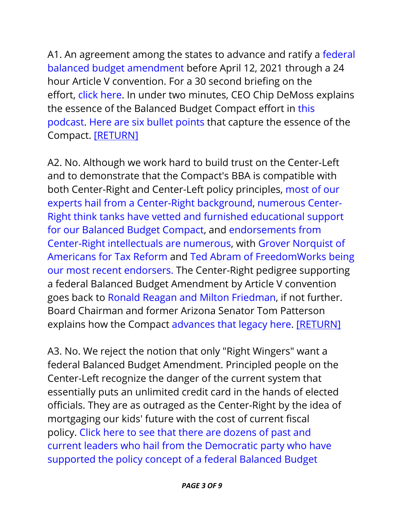<span id="page-2-0"></span>A1. An agreement among the states to advance and ratify a [federal](http://media.wix.com/ugd/e48202_0468889115a94eeda2b0a9104f8989e6.pdf) balanced budget [amendment](http://media.wix.com/ugd/e48202_0468889115a94eeda2b0a9104f8989e6.pdf) before April 12, 2021 through a 24 hour Article V convention. For a 30 second briefing on the effort, click [here.](http://www.compactforamerica.org/#!30-Second-Briefing/c213a/5604934c0cf2375d99dbd7ed) In under two minutes, CEO Chip DeMoss explains the essence of the Balanced Budget Compact effort in [this](https://youtu.be/79h1bBdgUi8) [podcast.](https://youtu.be/79h1bBdgUi8) Here are six bullet [points](http://www.compactforamerica.org/#!Six-Bullets-that-Could-Fix-the-Debt/c213a/565487800cf20a760c4b5bf2) that capture the essence of the Compact. [\[RETURN\]](#page-0-0)

<span id="page-2-1"></span>A2. No. Although we work hard to build trust on the Center-Left and to demonstrate that the Compact's BBA is compatible with both Center-Right and Center-Left policy principles, [most](http://www.compactforamerica.org/meet-team) of our experts hail from a [Center-Right](http://www.compactforamerica.org/meet-team) background, [numerous](http://www.compactforamerica.org/#!Which-Brain-Trusts-Support-the-Compact-for-America-Initiative/c213a/0E33893E-97A0-4329-81B0-A49E68528326) Center-Right think tanks have vetted and furnished [educational](http://www.compactforamerica.org/#!Which-Brain-Trusts-Support-the-Compact-for-America-Initiative/c213a/0E33893E-97A0-4329-81B0-A49E68528326) support for our Balanced Budget [Compact,](http://www.compactforamerica.org/#!Which-Brain-Trusts-Support-the-Compact-for-America-Initiative/c213a/0E33893E-97A0-4329-81B0-A49E68528326) and [endorsements](http://www.compactforamerica.org/#!Who-on-the-Right-Likes-the-Compact/c213a/5604ad880cf25fa7fe16ac01) from [Center-Right](http://www.compactforamerica.org/#!Who-on-the-Right-Likes-the-Compact/c213a/5604ad880cf25fa7fe16ac01) intellectuals are numerous, with Grover [Norquist](http://www.compactforamerica.org/#!Americans-for-Tax-Reform-Endorse-the-Compact/c213a/55c21afb0cf2e37b76c212b8) of [Americans](http://www.compactforamerica.org/#!Americans-for-Tax-Reform-Endorse-the-Compact/c213a/55c21afb0cf2e37b76c212b8) for Tax Reform and Ted Abram of [FreedomWorks](http://www.compactforamerica.org/#!FreedomWorks-Ted-Abram-Endorses-the-Compact-for-a-Balanced-Budget/c213a/55e334b80cf269cc03e60583) being our most recent [endorsers.](http://www.compactforamerica.org/#!FreedomWorks-Ted-Abram-Endorses-the-Compact-for-a-Balanced-Budget/c213a/55e334b80cf269cc03e60583) The Center-Right pedigree supporting a federal Balanced Budget Amendment by Article V convention goes back to Ronald Reagan and Milton [Friedman,](http://www.compactforamerica.org/#!An-Easy-Choice-for-Constitutionalists-Burger-vs-Reagan-Friedman-Scalia-on-Article-V/c213a/D804C9B6-FF81-4C20-BD54-1826A5B32727) if not further. Board Chairman and former Arizona Senator Tom Patterson explains how the Compact [advances](https://youtu.be/FKEd_H7Si80) that legacy here. [\[RETURN\]](#page-0-1)

<span id="page-2-2"></span>A3. No. We reject the notion that only "Right Wingers" want a federal Balanced Budget Amendment. Principled people on the Center-Left recognize the danger of the current system that essentially puts an unlimited credit card in the hands of elected officials. They are as outraged as the Center-Right by the idea of mortgaging our kids' future with the cost of current fiscal policy. Click here to see that there are [dozens](http://www.compactforamerica.org/#!Democrats-Support-Balanced-Budget-Amendments-Too/c213a/560499130cf2a7bb74b6fc4e) of past and current leaders who hail from the [Democratic](http://www.compactforamerica.org/#!Democrats-Support-Balanced-Budget-Amendments-Too/c213a/560499130cf2a7bb74b6fc4e) party who have [supported](http://www.compactforamerica.org/#!Democrats-Support-Balanced-Budget-Amendments-Too/c213a/560499130cf2a7bb74b6fc4e) the policy concept of a federal Balanced Budget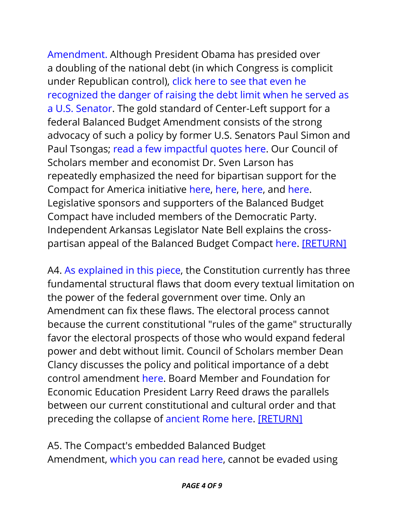[Amendment.](http://www.compactforamerica.org/#!Democrats-Support-Balanced-Budget-Amendments-Too/c213a/560499130cf2a7bb74b6fc4e) Although President Obama has presided over a doubling of the national debt (in which Congress is complicit under Republican control), click here to see that [even](http://www.compactforamerica.org/#!Senator-Obama-Was-Right/c213a/9BB17469-08CA-44F3-90F0-2B844C7DA8C6) he [recognized](http://www.compactforamerica.org/#!Senator-Obama-Was-Right/c213a/9BB17469-08CA-44F3-90F0-2B844C7DA8C6) the danger of raising the debt limit when he served as a U.S. [Senator.](http://www.compactforamerica.org/#!Senator-Obama-Was-Right/c213a/9BB17469-08CA-44F3-90F0-2B844C7DA8C6) The gold standard of Center-Left support for a federal Balanced Budget Amendment consists of the strong advocacy of such a policy by former U.S. Senators Paul Simon and Paul Tsongas; read a few [impactful](http://www.compactforamerica.org/#!What-Would-Simon-and-Tsongas-Do/c213a/5604b8e10cf25fa7fe16b619) quotes here. Our Council of Scholars member and economist Dr. Sven Larson has repeatedly emphasized the need for bipartisan support for the Compact for America initiative [here,](http://www.compactforamerica.org/#!The-Case-for-Bipartisan-Fiscal-Reform/c213a/560405c50cf2375d99db20f5) [here,](http://www.compactforamerica.org/#!Debt-Doctor-Debt-is-a-Bipartisan-Problem-Requiring-a-Bipartisan-Solution/c213a/5604048c0cf25fa7fe15d986) [here,](https://youtu.be/xv8Ymro5V4s) and [here.](http://www.compactforamerica.org/#!Why-Even-Keynesians-Should-Support-the-Compact-Excerpts-from-Dr-Sven-Larsons-Testimony-in-Support-of-the-Compact-for-a-Balanced-Budget/c213a/CA581054-00FA-4EAC-AF44-F7BC35EC78DD) Legislative sponsors and supporters of the Balanced Budget Compact have included members of the Democratic Party. Independent Arkansas Legislator Nate Bell explains the crosspartisan appeal of the Balanced Budget Compact [here.](https://youtu.be/AP-zF5FBS1A) [\[RETURN\]](#page-0-2)

<span id="page-3-0"></span>A4. As [explained](http://www.compactforamerica.org/#!Exploding-Propaganda-Series-Part-1-of-7-The-Problem-with-Enforcing-the-Constitution-As-It-Is/c213a/55e3511b0cf269cc03e61f1d) in this piece, the Constitution currently has three fundamental structural flaws that doom every textual limitation on the power of the federal government over time. Only an Amendment can fix these flaws. The electoral process cannot because the current constitutional "rules of the game" structurally favor the electoral prospects of those who would expand federal power and debt without limit. Council of Scholars member Dean Clancy discusses the policy and political importance of a debt control amendment [here.](https://youtu.be/oFZATUuhmKA) Board Member and Foundation for Economic Education President Larry Reed draws the parallels between our current constitutional and cultural order and that preceding the collapse of [ancient](https://youtu.be/7lL9PwgSoKQ) Rome here. [\[RETURN\]](#page-0-3)

<span id="page-3-1"></span>A5. The Compact's embedded Balanced Budget Amendment, [which](http://media.wix.com/ugd/e48202_0468889115a94eeda2b0a9104f8989e6.pdf) you can read here, cannot be evaded using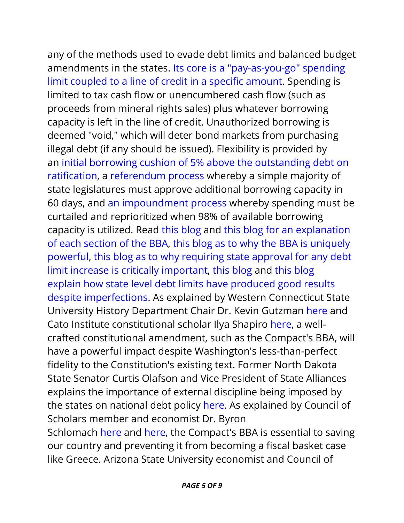any of the methods used to evade debt limits and balanced budget amendments in the states. Its core is a ["pay-as-you-go"](http://www.compactforamerica.org/#!The-Backbone-of-the-Compacts-BBAPart-1-of-7/c213a/55c146740cf265ef515e934e) spending limit coupled to a line of credit in a specific [amount.](http://www.compactforamerica.org/#!The-Backbone-of-the-Compacts-BBAPart-1-of-7/c213a/55c146740cf265ef515e934e) Spending is limited to tax cash flow or unencumbered cash flow (such as proceeds from mineral rights sales) plus whatever borrowing capacity is left in the line of credit. Unauthorized borrowing is deemed "void," which will deter bond markets from purchasing illegal debt (if any should be issued). Flexibility is provided by an initial borrowing cushion of 5% above the [outstanding](http://www.compactforamerica.org/#!The-Compacts-Powerful-Debt-LimitPart-2-of-7/c213a/55c56f840cf22830f5f7b3e7) debt on [ratification,](http://www.compactforamerica.org/#!The-Compacts-Powerful-Debt-LimitPart-2-of-7/c213a/55c56f840cf22830f5f7b3e7) a [referendum](http://www.compactforamerica.org/#!State-Intervention-Part-3-of-7-in-the-Compact-BBA-Series/c213a/563fcfb20cf2f51f3231587b) process whereby a simple majority of state legislatures must approve additional borrowing capacity in 60 days, and an [impoundment](http://www.compactforamerica.org/#!Impoundment-Part-4-of-7-in-the-Compact-BBA-Series/c213a/563fd11e0cf2f51f323159ce) process whereby spending must be curtailed and reprioritized when 98% of available borrowing capacity is utilized. Read this [blog](http://www.compactforamerica.org/#!Want-to-Make-a-Difference/c213a/5604b7bc0cf25fa7fe16b536) and this blog for an [explanation](http://www.compactforamerica.org/#!The-Compact-Solution-to-the-Federal-Debt-Rubiks-Cube/c213a/F8C4D5C0-D1F6-4BF0-8F38-4BFDFEEBAAEB) of each [section](http://www.compactforamerica.org/#!The-Compact-Solution-to-the-Federal-Debt-Rubiks-Cube/c213a/F8C4D5C0-D1F6-4BF0-8F38-4BFDFEEBAAEB) of the BBA, this blog as to why the BBA is [uniquely](http://www.compactforamerica.org/#!Why-the-Compacts-Balanced-Budget-Amendment-is-Best/c213a/521A0E12-784C-4CC8-8622-D4906E14EEA5) [powerful,](http://www.compactforamerica.org/#!Why-the-Compacts-Balanced-Budget-Amendment-is-Best/c213a/521A0E12-784C-4CC8-8622-D4906E14EEA5) this blog as to why [requiring](http://www.compactforamerica.org/#!Exploding-Propaganda-Series-Part-4-of-7-Section-3s-External-Discipline-Requirement/c213a/55e354350cf29a3653bc2d00) state approval for any debt limit increase is critically [important,](http://www.compactforamerica.org/#!Exploding-Propaganda-Series-Part-4-of-7-Section-3s-External-Discipline-Requirement/c213a/55e354350cf29a3653bc2d00) this [blog](http://www.compactforamerica.org/#!Mercatus-Study-Supports-Conclusion-that-Constitutional-Debt-Limits-Matter/c213a/563fdb180cf21009be7d7400) and this [blog](http://www.compactforamerica.org/#!Less-Debt-Means-Less-Borrowing-Cost/c213a/5604afc20cf2375d99dbf0fd) explain how state level debt limits have [produced](http://www.compactforamerica.org/#!Less-Debt-Means-Less-Borrowing-Cost/c213a/5604afc20cf2375d99dbf0fd) good results despite [imperfections.](http://www.compactforamerica.org/#!Less-Debt-Means-Less-Borrowing-Cost/c213a/5604afc20cf2375d99dbf0fd) As explained by Western Connecticut State University History Department Chair Dr. Kevin Gutzman [here](http://www.compactforamerica.org/#!C4A-Live-Episode-2-Dr-Kevin-Gutzman/c213a/55bfa70b0cf22a872586292e) and Cato Institute constitutional scholar Ilya Shapiro [here,](http://www.compactforamerica.org/#!C4A-Live-Episode-5-Ilya-Shapiro-on-Why-State-Action-is-Warranted/c213a/55cbb1430cf2244af60a2b20) a wellcrafted constitutional amendment, such as the Compact's BBA, will have a powerful impact despite Washington's less-than-perfect fidelity to the Constitution's existing text. Former North Dakota State Senator Curtis Olafson and Vice President of State Alliances explains the importance of external discipline being imposed by the states on national debt policy [here.](https://youtu.be/7yCuH3WTw64) As explained by Council of Scholars member and economist Dr. Byron Schlomach [here](http://www.compactforamerica.org/#!C4A-Live-Episode-9-Byron-Schlomach-Gives-Millennials-a-Taste-of-Greece/c2) and [here,](http://www.compactforamerica.org/#!Financial-Collapse-or-Prosperity-The-Choice-is-Yours-Excerpts-from-Dr-Byron-Schlomachs-Testimony-in-Support-of-the-Compact-for-a-Balanced-Budget/c213a/FB79BBD5-C0F0-467A-9B3C-FCC7210CF8BD) the Compact's BBA is essential to saving our country and preventing it from becoming a fiscal basket case like Greece. Arizona State University economist and Council of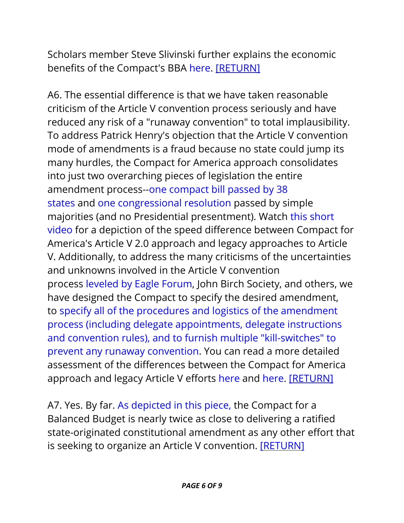Scholars member Steve Slivinski further explains the economic benefits of the Compact's BBA [here.](https://youtu.be/jJZs2Ag_IXw) [\[RETURN\]](#page-0-4)

<span id="page-5-0"></span>A6. The essential difference is that we have taken reasonable criticism of the Article V convention process seriously and have reduced any risk of a "runaway convention" to total implausibility. To address Patrick Henry's objection that the Article V convention mode of amendments is a fraud because no state could jump its many hurdles, the Compact for America approach consolidates into just two overarching pieces of legislation the entire amendment process--one [compact](http://media.wix.com/ugd/e48202_fba42b6664504c488cebb2513632a510.docx?dn=Compact%20for%20a%20Balanced%20Budget%20-%20leg%20counsel%20drafting%20version.docx) bill passed by 38 [states](http://media.wix.com/ugd/e48202_fba42b6664504c488cebb2513632a510.docx?dn=Compact%20for%20a%20Balanced%20Budget%20-%20leg%20counsel%20drafting%20version.docx) and one [congressional](http://media.wix.com/ugd/e48202_82afd4a8f2324aa68f188268af6da4c8.pdf) resolution passed by simple majorities (and no Presidential presentment). Watch this [short](https://www.youtube.com/watch?v=gsHNT5dfLUA&index=26&list=PL_NE1g4QyKfNrSbJ8tYWTtdAf4AjeJPJr) [video](https://www.youtube.com/watch?v=gsHNT5dfLUA&index=26&list=PL_NE1g4QyKfNrSbJ8tYWTtdAf4AjeJPJr) for a depiction of the speed difference between Compact for America's Article V 2.0 approach and legacy approaches to Article V. Additionally, to address the many criticisms of the uncertainties and unknowns involved in the Article V convention process [leveled](http://www.compactforamerica.org/#!Eagle-Forum-concerns-instrumental-in-the-development-of-the-Compact-for-America-Initiative-by-CFA-CEO-Chip-DeMoss/c213a/FBC3790C-9061-4814-9202-793C0B215179) by Eagle Forum, John Birch Society, and others, we have designed the Compact to specify the desired amendment, to specify all of the procedures and logistics of the [amendment](http://www.compactforamerica.org/#!Got-the-Runaway-Convention-Blues/c213a/B05329FF-BC13-42FF-A351-213C4766EC8D) process (including delegate [appointments,](http://www.compactforamerica.org/#!Got-the-Runaway-Convention-Blues/c213a/B05329FF-BC13-42FF-A351-213C4766EC8D) delegate instructions and convention rules), and to furnish multiple ["kill-switches"](http://www.compactforamerica.org/#!Got-the-Runaway-Convention-Blues/c213a/B05329FF-BC13-42FF-A351-213C4766EC8D) to prevent any runaway [convention.](http://www.compactforamerica.org/#!Got-the-Runaway-Convention-Blues/c213a/B05329FF-BC13-42FF-A351-213C4766EC8D) You can read a more detailed assessment of the differences between the Compact for America approach and legacy Article V efforts [here](http://www.compactforamerica.org/#!Whats-the-Difference-among-the-Major-Fiver-Movements/c213a/5604aa2a0cf2f0ed7a20d872) and [here.](http://www.compactforamerica.org/#!Whos-Winning-the-Reform-Race/c213a/563961640cf23796cd8bc0df) [\[RETURN\]](#page-0-5)

<span id="page-5-1"></span>A7. Yes. By far. As [depicted](http://www.compactforamerica.org/#!Whos-Winning-the-Reform-Race/c213a/563961640cf23796cd8bc0df) in this piece, the Compact for a Balanced Budget is nearly twice as close to delivering a ratified state-originated constitutional amendment as any other effort that is seeking to organize an Article V convention. [\[RETURN\]](#page-0-6)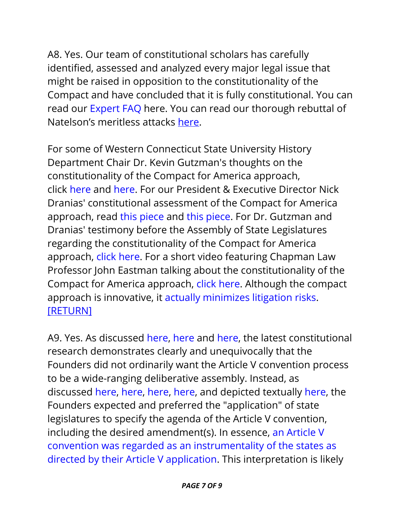<span id="page-6-0"></span>A8. Yes. Our team of constitutional scholars has carefully identified, assessed and analyzed every major legal issue that might be raised in opposition to the constitutionality of the Compact and have concluded that it is fully constitutional. You can read our [Expert](http://media.wix.com/ugd/e48202_131dacf5f92346e7b00adb4ff867219b.pdf) FAQ here. You can read our thorough rebuttal of Natelson's meritless attacks [here.](http://www.compactforamerica.org/single-post/2016/08/22/A-Final-Vindication-of-the-Principle-of-State-Sovereignty-in-Article-V)

For some of Western Connecticut State University History Department Chair Dr. Kevin Gutzman's thoughts on the constitutionality of the Compact for America approach, click [here](http://www.compactforamerica.org/#!Compact-for-America-is-Needed-to-Address-Washingtons-Misbehavior-Excerpts-from-Dr-Kevin-Gutzmans-Testimony-in-Support-of-the-Compact-for-a-Balanced-Budget/c213a/9C605024-82B9-409E-83E7-7016C3A28BB8) and [here.](http://www.compactforamerica.org/#!Why-Compact-for-America-Fulfills-the-Founders-Promise-by-Kevin-RC-Gutzman-PhD-JD/c213a/FDC747C8-8FD8-4492-B3B4-B7C3C24F6197) For our President & Executive Director Nick Dranias' constitutional assessment of the Compact for America approach, read this [piece](http://blog.constitutioncenter.org/2013/12/fulfilling-the-promise-of-article-v-with-an-interstate-compact/) and this [piece.](http://www.compactforamerica.org/#!Superwonk-Alert-Why-the-Founders-Stand-Behind-Every-Single-Bit-of-the-Compact-for-a-Balanced-Budget/c213a/5604964b0cf2375d99dbdafb) For Dr. Gutzman and Dranias' testimony before the Assembly of State Legislatures regarding the constitutionality of the Compact for America approach, click [here.](http://media.wix.com/ugd/e48202_ea3d26f51b0644578089f52b6db7e50b.pdf) For a short video featuring Chapman Law Professor John Eastman talking about the constitutionality of the Compact for America approach, click [here.](http://www.compactforamerica.org/#!C4A-Live-Episode-4-John-Eastman-on-the-Constitutional-Merits/c213a/55cb98c70cf2244af60a1215) Although the compact approach is innovative, it actually [minimizes](http://www.compactforamerica.org/#!The-Compact-for-a-Balanced-Budget-Minimizes-Litigation-Risks-Excerpts-from-Cato-Institute-Scholar-Ilya-Shapiros-Legislative-Testimony/c213a/67D700F7-886F-43EA-A12C-572C248A2594) litigation risks. [\[RETURN\]](#page-0-7)

<span id="page-6-1"></span>A9. Yes. As discussed [here,](http://www.compactforamerica.org/#!FAQ-Series-Question-3-Doesnt-an-Article-V-Convention-Have-the-Job-of-Drafting-the-Amendment/c213a/785EB286-F689-4945-85EC-4592C72C399B) [here](http://www.compactforamerica.org/#!Does-Article-V-Really-Mandate-a-Free-Range-Convention/c213a/32B6EF41-0432-4ED0-B268-640E8C24E606) and [here,](http://www.compactforamerica.org/#!What-if-the-Founders-Did-Not-Want-an-Article-V-Convention-with-a-Broad-Agenda/c213a/D05AA126-E44A-43C8-94FD-63027156A217) the latest constitutional research demonstrates clearly and unequivocally that the Founders did not ordinarily want the Article V convention process to be a wide-ranging deliberative assembly. Instead, as discussed [here,](http://www.compactforamerica.org/#!Whats-in-a-Word-Application-as-the-Pivot-Point-for-State-Control-in-Article-V-by-CFA-CEO-Chip-DeMoss-and-Nick-Dranias/c213a/877EF107-5BB6-443A-BB03-224D4E753797) [here,](http://media.wix.com/ugd/e48202_ea3d26f51b0644578089f52b6db7e50b.pdf) [here,](http://blog.constitutioncenter.org/2014/02/did-george-washington-tell-a-lie-about-state-control-over-article-v-amendments/) [here,](http://blog.constitutioncenter.org/2014/11/so-what-are-the-d-c-insiders-really-afraid-of/) and depicted textually [here,](http://www.compactforamerica.org/#!The-Founders-Wanted-a-LaserTargeted-Article-V-Convention-Part-8-of-8/c213a/54cce4db0cf26e5660860840) the Founders expected and preferred the "application" of state legislatures to specify the agenda of the Article V convention, including the desired amendment(s). In essence, an [Article](http://www.compactforamerica.org/#!The-Article-V-Convention-An-Instrumentality-Directed-by-the-Application/c213a/54f9e1d30cf24585977324e0) V convention was regarded as an [instrumentality](http://www.compactforamerica.org/#!The-Article-V-Convention-An-Instrumentality-Directed-by-the-Application/c213a/54f9e1d30cf24585977324e0) of the states as directed by their Article V [application.](http://www.compactforamerica.org/#!The-Article-V-Convention-An-Instrumentality-Directed-by-the-Application/c213a/54f9e1d30cf24585977324e0) This interpretation is likely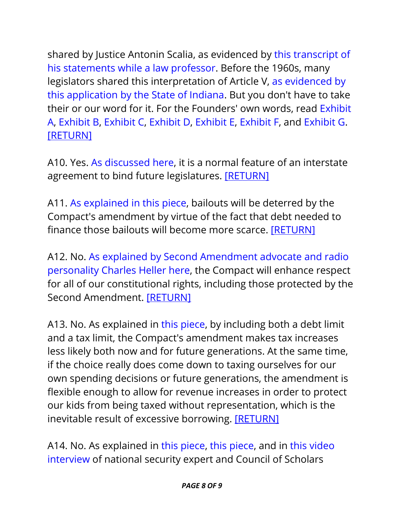shared by Justice Antonin Scalia, as evidenced by this [transcript](http://www.compactforamerica.org/#!Scalia-Supports-a-Limited-Article-V-Convention/c213a/54fee09f0cf27b8ab25a036b) of his [statements](http://www.compactforamerica.org/#!Scalia-Supports-a-Limited-Article-V-Convention/c213a/54fee09f0cf27b8ab25a036b) while a law professor. Before the 1960s, many legislators shared this interpretation of Article V, as [evidenced](http://www.compactforamerica.org/#!Blast-from-the-Past-Proof-of-the-Lost-Understanding-that-an-Article-V-Application-Could-LaserFocus-the-Convention/c213a/9CBF0A0E-DB8E-473F-BBD7-299A45B12028) by this [application](http://www.compactforamerica.org/#!Blast-from-the-Past-Proof-of-the-Lost-Understanding-that-an-Article-V-Application-Could-LaserFocus-the-Convention/c213a/9CBF0A0E-DB8E-473F-BBD7-299A45B12028) by the State of Indiana. But you don't have to take their or our word for it. For the Founders' own words, read [Exhibit](http://www.compactforamerica.org/#!The-Founders-Wanted-a-LaserTargeted-Article-V-Convention-Post-1-in-a-Series-of-8-Postings/c213a/51C518A3-C49D-46DE-BA45-AC6611F5DE32) [A,](http://www.compactforamerica.org/#!The-Founders-Wanted-a-LaserTargeted-Article-V-Convention-Post-1-in-a-Series-of-8-Postings/c213a/51C518A3-C49D-46DE-BA45-AC6611F5DE32) [Exhibit](http://www.compactforamerica.org/#!The-Founders-Wanted-a-LaserTargeted-Article-V-Convention-Part-2-of-8/c213a/802A423D-6242-4A38-A6FA-31AA5C28FA39) B, [Exhibit](http://www.compactforamerica.org/#!The-Founders-Wanted-a-LaserTargeted-Article-V-Convention-Part-3-of-8/c213a/FB8345C7-3AD8-4265-B58C-8DB1EFFBD1D5) C, [Exhibit](http://www.compactforamerica.org/#!The-Founders-Wanted-a-LaserTargeted-Article-V-Convention-Part-4-of-8/c213a/B43D8ABE-F9B7-49E4-86CE-7A322D1B97CF) D, [Exhibit](http://www.compactforamerica.org/#!The-Founders-Wanted-a-LaserTargeted-Article-V-Convention-Part-5-of-8/c213a/5CBC2B7E-A777-441C-93E2-16E592C27B8B) E, [Exhibit](http://www.compactforamerica.org/#!The-Founders-Wanted-a-LaserTargeted-Article-V-Convention-Part-6-of-8/c213a/AB468955-F7D0-4A5F-B0B8-48449ABE779B) F, and [Exhibit](http://www.compactforamerica.org/#!The-Founders-Wanted-a-LaserTargeted-Article-V-Convention-Part-7-of-8/c213a/54c0827f0cf2ad5dc6c2a147) G. [\[RETURN\]](#page-1-0)

<span id="page-7-0"></span>A10. Yes. As [discussed](http://www.compactforamerica.org/#!Entrenching-is-What-Compacts-Do/c213a/560494540cf2a7bb74b6f7df) here, it is a normal feature of an interstate agreement to bind future legislatures. [\[RETURN\]](#page-1-1)

<span id="page-7-1"></span>A11. As [explained](http://www.compactforamerica.org/#!Fix-the-Debt-Stop-the-Bailouts/c213a/28C002BE-022A-4CAF-875F-C3E25BC9457A) in this piece, bailouts will be deterred by the Compact's amendment by virtue of the fact that debt needed to finance those bailouts will become more scarce. [\[RETURN\]](#page-1-2)

<span id="page-7-2"></span>A12. No. As explained by Second [Amendment](http://www.compactforamerica.org/#!The-Compact-for-a-Balanced-Budget-Will-Help-Protect-the-Second-Amendment/c213a/54fede870cf2458597948a2c) advocate and radio [personality](http://www.compactforamerica.org/#!The-Compact-for-a-Balanced-Budget-Will-Help-Protect-the-Second-Amendment/c213a/54fede870cf2458597948a2c) Charles Heller here, the Compact will enhance respect for all of our constitutional rights, including those protected by the Second Amendment. [\[RETURN\]](#page-1-3)

<span id="page-7-3"></span>A13. No. As explained in this [piece,](http://www.compactforamerica.org/#!Tax-Limit-Part-5-of-the-7-Part-Compact-BBA-Series/c213a/563fd2300cf2708e001119c2) by including both a debt limit and a tax limit, the Compact's amendment makes tax increases less likely both now and for future generations. At the same time, if the choice really does come down to taxing ourselves for our own spending decisions or future generations, the amendment is flexible enough to allow for revenue increases in order to protect our kids from being taxed without representation, which is the inevitable result of excessive borrowing. **[\[RETURN\]](#page-1-4)** 

<span id="page-7-4"></span>A14. No. As explained in this [piece,](http://www.compactforamerica.org/#!Genuine-National-Security-Requires-the-Compact-for-a-Balanced-Budget/c213a/2BFAE350-5316-4CAF-8996-4943F5D9789A) this [piece,](http://www.compactforamerica.org/#!FAQ-Series-Question-2-Should-Congress-Have-the-Unilateral-Power-to-Suspend-the-Balanced-Budget-Amendment-in-Times-of-Declared-War-or-Other-Emergency/c213a/2B9882D1-25F8-4A6F-9719-D5FB546951D3) and in this [video](http://www.compactforamerica.org/#!C4A-Live-Episode-12-Baker-Spring-on-Debt-National-Security/c213a/55cbb7d90cf25051ca256dab) [interview](http://www.compactforamerica.org/#!C4A-Live-Episode-12-Baker-Spring-on-Debt-National-Security/c213a/55cbb7d90cf25051ca256dab) of national security expert and Council of Scholars